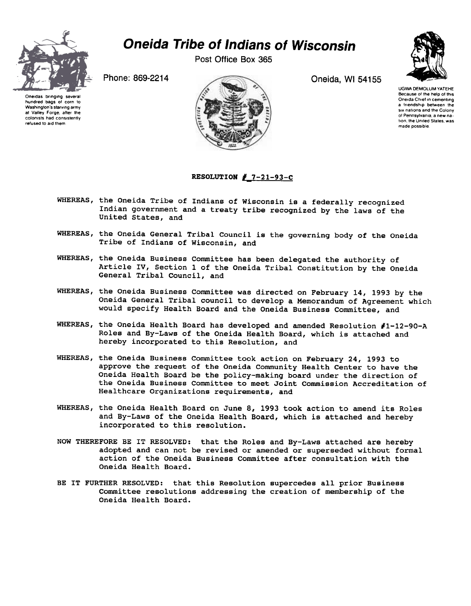

## Oneida Tribe of Indians of Wisconsin

Post Office Box 365



Oneidas bringing several hundred bags ot corn to Washington's starving army at Valley Forge, after the colonists had consistently refused to aid them



UGWA DEMOLUM YATEHE Because of the help of this Oneida Chief in cementing a friendship between the six nations and the Colony of Pennsylvania a new nation, the United States, was made possible.

## RESOLUTION  $# 7-21-93-C$

- WHEREAS, the Oneida Tribe of Indians of Wisconsin is a federally recognized Indian government and a treaty tribe recognized by the laws of the United States, and
- WHEREAS, the Oneida General Tribal Council is the governing body of the Oneida Tribe of Indians of Wisconsin, and
- WHEREAS, the Oneida Business Committee has been delegated the authority of Article IV, Section 1 of the Oneida Tribal Constitution by the Oneida General Tribal Council, and
- WHEREAS, the Oneida Business Committee was directed on February 14, 1993 by the Oneida General Tribal council to develop a Memorandum of Agreement which would specify Health Board and the Oneida Business Committee, and
- WHEREAS, the Oneida Health Board has developed and amended Resolution #1-12-90-A Roles and By-Laws of the Oneida Health Board, which is attached and hereby incorporated to this Resolution, and
- WHEREAS, the Oneida Business Committee took action on February 24, 1993 to approve the request of the Oneida Community Health Center to have the Oneida Health Board be the policy-making board under the direction of the Oneida Business Committee to meet Joint Commission Accreditation of Healthcare Organizations requirements, and
- WHEREAS, the Oneida Health Board on June 8, 1993 took action to amend its Roles and By-Laws of the Oneida Health Board, which is attached and hereby incorporated to this resolution.
- NOW THEREFORE BE IT RESOLVED: that the Roles and By-Laws attached are hereby adopted and can not be revised or amended or superseded without formal action of the Oneida Business Committee after consultation with the Oneida Health Board.
- BE IT FURTHER RESOLVED: that this Resolution supercedes all prior Business Committee resolutions addressing the creation of membership of the Oneida Health Board.